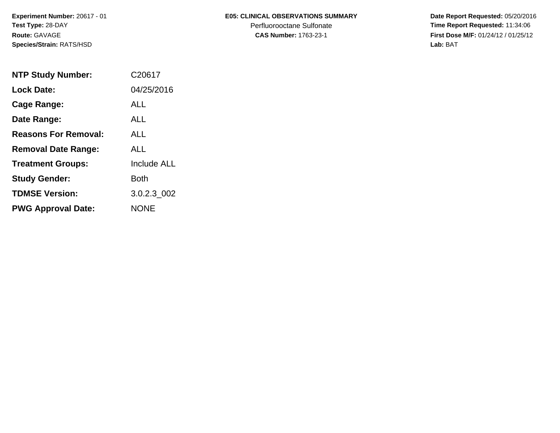**Experiment Number:** 20617 - 01**Test Type:** 28-DAY**Route:** GAVAGE**Species/Strain:** RATS/HSD

## **E05: CLINICAL OBSERVATIONS SUMMARY**

Perfluorooctane Sulfonate<br>CAS Number: 1763-23-1

 **Date Report Requested:** 05/20/2016 **Time Report Requested:** 11:34:06 **First Dose M/F:** 01/24/12 / 01/25/12<br>Lab: BAT **Lab:** BAT

| <b>NTP Study Number:</b>    | C20617             |
|-----------------------------|--------------------|
| <b>Lock Date:</b>           | 04/25/2016         |
| Cage Range:                 | <b>ALL</b>         |
| Date Range:                 | ALL.               |
| <b>Reasons For Removal:</b> | ALL                |
| <b>Removal Date Range:</b>  | ALL                |
| <b>Treatment Groups:</b>    | <b>Include ALL</b> |
| <b>Study Gender:</b>        | Both               |
| <b>TDMSE Version:</b>       | 3.0.2.3 002        |
| <b>PWG Approval Date:</b>   | <b>NONF</b>        |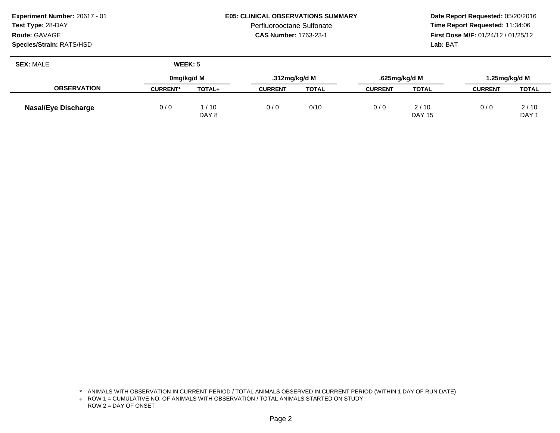**Experiment Number:** 20617 - 01**Test Type:** 28-DAY

## **Route:** GAVAGE

**Species/Strain:** RATS/HSD

## **E05: CLINICAL OBSERVATIONS SUMMARY**

Perfluorooctane Sulfonate<br>CAS Number: 1763-23-1

 **Date Report Requested:** 05/20/2016 **Time Report Requested:** 11:34:06 **First Dose M/F:** 01/24/12 / 01/25/12<br>**Lab:** BAT **Lab:** BAT

| <b>SEX: MALE</b>           | WEEK: 5         |                 |                |              |                |                       |                |                          |  |
|----------------------------|-----------------|-----------------|----------------|--------------|----------------|-----------------------|----------------|--------------------------|--|
|                            | 0mg/kg/d M      |                 | .312mg/kg/d M  |              | .625mg/kg/d M  |                       |                | I.25mg/kg/d M            |  |
| <b>OBSERVATION</b>         | <b>CURRENT*</b> | TOTAL+          | <b>CURRENT</b> | <b>TOTAL</b> | <b>CURRENT</b> | <b>TOTAL</b>          | <b>CURRENT</b> | <b>TOTAL</b>             |  |
| <b>Nasal/Eye Discharge</b> | 0/0             | 1 / 10<br>DAY 8 | 0/0            | 0/10         | 0/0            | 2/10<br><b>DAY 15</b> | 0/0            | 2/10<br>DAY <sub>1</sub> |  |

<sup>\*</sup> ANIMALS WITH OBSERVATION IN CURRENT PERIOD / TOTAL ANIMALS OBSERVED IN CURRENT PERIOD (WITHIN 1 DAY OF RUN DATE)

<sup>+</sup> ROW 1 = CUMULATIVE NO. OF ANIMALS WITH OBSERVATION / TOTAL ANIMALS STARTED ON STUDY ROW 2 = DAY OF ONSET